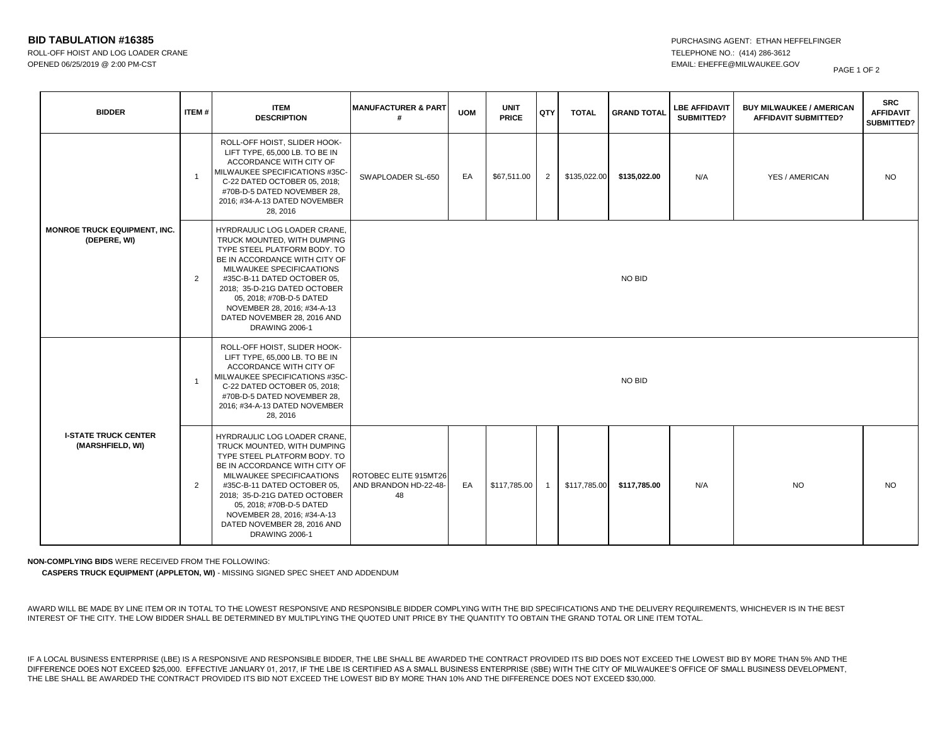## **BID TABULATION #16385 PURCHASING AGENT: ETHAN HEFFELFINGER**

ROLL-OFF HOIST AND LOG LOADER CRANE TELEPHONE NO.: (414) 286-3612 OPENED 06/25/2019 @ 2:00 PM-CST EMAIL: EHEFFE@MILWAUKEE.GOV

| <b>BIDDER</b>                                       | ITEM#          | <b>ITEM</b><br><b>DESCRIPTION</b>                                                                                                                                                                                                                                                                                                           | <b>MANUFACTURER &amp; PART</b><br>#                  | <b>UOM</b> | <b>UNIT</b><br><b>PRICE</b> | QTY            | <b>TOTAL</b> | <b>GRAND TOTAL</b> | <b>LBE AFFIDAVIT</b><br>SUBMITTED? | <b>BUY MILWAUKEE / AMERICAN</b><br><b>AFFIDAVIT SUBMITTED?</b> | <b>SRC</b><br><b>AFFIDAVIT</b><br>SUBMITTED? |
|-----------------------------------------------------|----------------|---------------------------------------------------------------------------------------------------------------------------------------------------------------------------------------------------------------------------------------------------------------------------------------------------------------------------------------------|------------------------------------------------------|------------|-----------------------------|----------------|--------------|--------------------|------------------------------------|----------------------------------------------------------------|----------------------------------------------|
| <b>MONROE TRUCK EQUIPMENT, INC.</b><br>(DEPERE, WI) | $\overline{1}$ | ROLL-OFF HOIST, SLIDER HOOK-<br>LIFT TYPE, 65,000 LB. TO BE IN<br>ACCORDANCE WITH CITY OF<br>MILWAUKEE SPECIFICATIONS #35C-<br>C-22 DATED OCTOBER 05, 2018;<br>#70B-D-5 DATED NOVEMBER 28,<br>2016; #34-A-13 DATED NOVEMBER<br>28, 2016                                                                                                     | SWAPLOADER SL-650                                    | EA         | \$67,511.00                 | 2              | \$135,022.00 | \$135,022.00       | N/A                                | YES / AMERICAN                                                 | <b>NO</b>                                    |
|                                                     | $\overline{2}$ | HYRDRAULIC LOG LOADER CRANE,<br>TRUCK MOUNTED, WITH DUMPING<br>TYPE STEEL PLATFORM BODY. TO<br>BE IN ACCORDANCE WITH CITY OF<br>MILWAUKEE SPECIFICAATIONS<br>#35C-B-11 DATED OCTOBER 05,<br>2018; 35-D-21G DATED OCTOBER<br>05, 2018; #70B-D-5 DATED<br>NOVEMBER 28, 2016; #34-A-13<br>DATED NOVEMBER 28, 2016 AND<br><b>DRAWING 2006-1</b> |                                                      |            |                             |                |              | NO BID             |                                    |                                                                |                                              |
| <b>I-STATE TRUCK CENTER</b><br>(MARSHFIELD, WI)     | $\overline{1}$ | ROLL-OFF HOIST, SLIDER HOOK-<br>LIFT TYPE, 65,000 LB. TO BE IN<br>ACCORDANCE WITH CITY OF<br>MILWAUKEE SPECIFICATIONS #35C-<br>C-22 DATED OCTOBER 05, 2018;<br>#70B-D-5 DATED NOVEMBER 28,<br>2016; #34-A-13 DATED NOVEMBER<br>28, 2016                                                                                                     |                                                      |            |                             |                |              | NO BID             |                                    |                                                                |                                              |
|                                                     | $\overline{2}$ | HYRDRAULIC LOG LOADER CRANE,<br>TRUCK MOUNTED. WITH DUMPING<br>TYPE STEEL PLATFORM BODY. TO<br>BE IN ACCORDANCE WITH CITY OF<br>MILWAUKEE SPECIFICAATIONS<br>#35C-B-11 DATED OCTOBER 05,<br>2018; 35-D-21G DATED OCTOBER<br>05, 2018; #70B-D-5 DATED<br>NOVEMBER 28, 2016; #34-A-13<br>DATED NOVEMBER 28, 2016 AND<br><b>DRAWING 2006-1</b> | ROTOBEC ELITE 915MT26<br>AND BRANDON HD-22-48-<br>48 | EA         | \$117,785.00                | $\overline{1}$ | \$117,785.00 | \$117,785.00       | N/A                                | <b>NO</b>                                                      | <b>NO</b>                                    |

**NON-COMPLYING BIDS** WERE RECEIVED FROM THE FOLLOWING:

**CASPERS TRUCK EQUIPMENT (APPLETON, WI)** - MISSING SIGNED SPEC SHEET AND ADDENDUM

AWARD WILL BE MADE BY LINE ITEM OR IN TOTAL TO THE LOWEST RESPONSIVE AND RESPONSIBLE BIDDER COMPLYING WITH THE BID SPECIFICATIONS AND THE DELIVERY REQUIREMENTS, WHICHEVER IS IN THE BEST INTEREST OF THE CITY. THE LOW BIDDER SHALL BE DETERMINED BY MULTIPLYING THE QUOTED UNIT PRICE BY THE QUANTITY TO OBTAIN THE GRAND TOTAL OR LINE ITEM TOTAL.

IF A LOCAL BUSINESS ENTERPRISE (LBE) IS A RESPONSIVE AND RESPONSIBLE BIDDER, THE LBE SHALL BE AWARDED THE CONTRACT PROVIDED ITS BID DOES NOT EXCEED THE LOWEST BID BY MORE THAN 5% AND THE DIFFERENCE DOES NOT EXCEED \$25,000. EFFECTIVE JANUARY 01, 2017, IF THE LBE IS CERTIFIED AS A SMALL BUSINESS ENTERPRISE (SBE) WITH THE CITY OF MILWAUKEE'S OFFICE OF SMALL BUSINESS DEVELOPMENT, THE LBE SHALL BE AWARDED THE CONTRACT PROVIDED ITS BID NOT EXCEED THE LOWEST BID BY MORE THAN 10% AND THE DIFFERENCE DOES NOT EXCEED \$30,000.